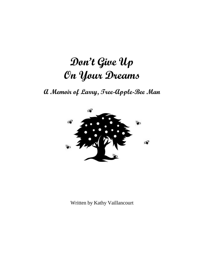# **Don't Give Up On Your Dreams**

**A Memoir of Larry, Tree-Apple-Bee Man**



Written by Kathy Vaillancourt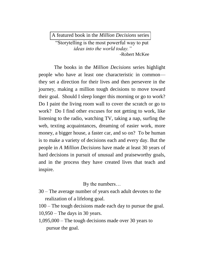A featured book in the *Million Decisions* series

―Storytelling is the most powerful way to put *ideas into the world today."* -Robert McKee

The books in the *Million Decisions* series highlight people who have at least one characteristic in common they set a direction for their lives and then persevere in the journey, making a million tough decisions to move toward their goal. Should I sleep longer this morning or go to work? Do I paint the living room wall to cover the scratch or go to work? Do I find other excuses for not getting to work, like listening to the radio, watching TV, taking a nap, surfing the web, texting acquaintances, dreaming of easier work, more money, a bigger house, a faster car, and so on? To be human is to make a variety of decisions each and every day. But the people in *A Million Decisions* have made at least 30 years of hard decisions in pursuit of unusual and praiseworthy goals, and in the process they have created lives that teach and inspire.

By the numbers…

30 – The average number of years each adult devotes to the realization of a lifelong goal.

100 – The tough decisions made each day to pursue the goal. 10,950 – The days in 30 years.

1,095,000 – The tough decisions made over 30 years to pursue the goal.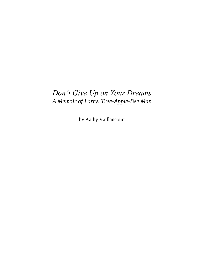# *Don't Give Up on Your Dreams A Memoir of Larry, Tree-Apple-Bee Man*

by Kathy Vaillancourt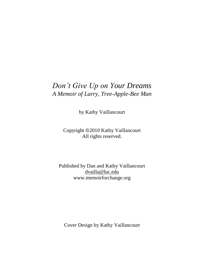## *Don't Give Up on Your Dreams A Memoir of Larry, Tree-Apple-Bee Man*

by Kathy Vaillancourt

Copyright ©2010 Kathy Vaillancourt All rights reserved.

Published by Dan and Kathy Vaillancourt [dvailla@luc.edu](mailto:dvailla@luc.edu) www.memoirforchange.org

Cover Design by Kathy Vaillancourt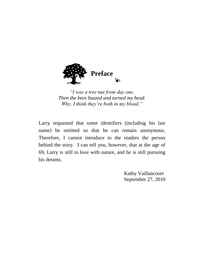

*"I was a tree nut from day one. Then the bees buzzed and turned my head. Why, I think they're both in my blood."*

Larry requested that some identifiers (including his last name) be omitted so that he can remain anonymous. Therefore, I cannot introduce to the readers the person behind the story. I can tell you, however, that at the age of 69, Larry is still in love with nature, and he is still pursuing his dreams.

> Kathy Vaillancourt September 27, 2010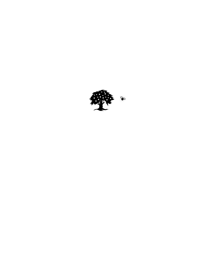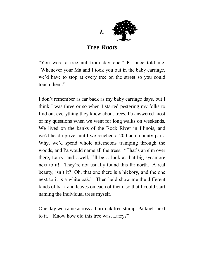

### *Tree Roots*

"You were a tree nut from day one," Pa once told me. ―Whenever your Ma and I took you out in the baby carriage, we'd have to stop at every tree on the street so you could touch them."

I don't remember as far back as my baby carriage days, but I think I was three or so when I started pestering my folks to find out everything they knew about trees. Pa answered most of my questions when we went for long walks on weekends. We lived on the banks of the Rock River in Illinois, and we'd head upriver until we reached a 200-acre county park. Why, we'd spend whole afternoons tramping through the woods, and Pa would name all the trees. "That's an elm over there, Larry, and…well, I'll be… look at that big sycamore next to it! They're not usually found this far north. A real beauty, isn't it? Oh, that one there is a hickory, and the one next to it is a white oak." Then he'd show me the different kinds of bark and leaves on each of them, so that I could start naming the individual trees myself.

One day we came across a burr oak tree stump. Pa knelt next to it. "Know how old this tree was, Larry?"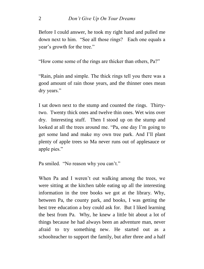Before I could answer, he took my right hand and pulled me down next to him. "See all those rings? Each one equals a year's growth for the tree."

"How come some of the rings are thicker than others, Pa?"

"Rain, plain and simple. The thick rings tell you there was a good amount of rain those years, and the thinner ones mean dry years."

I sat down next to the stump and counted the rings. Thirtytwo. Twenty thick ones and twelve thin ones. Wet wins over dry. Interesting stuff. Then I stood up on the stump and looked at all the trees around me. "Pa, one day I'm going to get some land and make my own tree park. And I'll plant plenty of apple trees so Ma never runs out of applesauce or apple pies."

Pa smiled. "No reason why you can't."

When Pa and I weren't out walking among the trees, we were sitting at the kitchen table eating up all the interesting information in the tree books we got at the library. Why, between Pa, the county park, and books, I was getting the best tree education a boy could ask for. But I liked learning the best from Pa. Why, he knew a little bit about a lot of things because he had always been an adventure man, never afraid to try something new. He started out as a schoolteacher to support the family, but after three and a half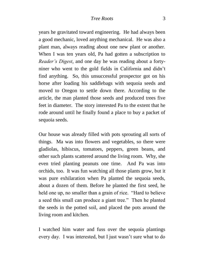#### *Tree Roots* 3

years he gravitated toward engineering. He had always been a good mechanic, loved anything mechanical. He was also a plant man, always reading about one new plant or another. When I was ten years old, Pa had gotten a subscription to *Reader's Digest*, and one day he was reading about a fortyniner who went to the gold fields in California and didn't find anything. So, this unsuccessful prospector got on his horse after loading his saddlebags with sequoia seeds and moved to Oregon to settle down there. According to the article, the man planted those seeds and produced trees five feet in diameter. The story interested Pa to the extent that he rode around until he finally found a place to buy a packet of sequoia seeds.

Our house was already filled with pots sprouting all sorts of things. Ma was into flowers and vegetables, so there were gladiolas, hibiscus, tomatoes, peppers, green beans, and other such plants scattered around the living room. Why, she even tried planting peanuts one time. And Pa was into orchids, too. It was fun watching all those plants grow, but it was pure exhilaration when Pa planted the sequoia seeds, about a dozen of them. Before he planted the first seed, he held one up, no smaller than a grain of rice. "Hard to believe a seed this small can produce a giant tree." Then he planted the seeds in the potted soil, and placed the pots around the living room and kitchen.

I watched him water and fuss over the sequoia plantings every day. I was interested, but I just wasn't sure what to do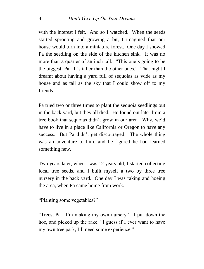with the interest I felt. And so I watched. When the seeds started sprouting and growing a bit, I imagined that our house would turn into a miniature forest. One day I showed Pa the seedling on the side of the kitchen sink. It was no more than a quarter of an inch tall. "This one's going to be the biggest, Pa. It's taller than the other ones." That night I dreamt about having a yard full of sequoias as wide as my house and as tall as the sky that I could show off to my friends.

Pa tried two or three times to plant the sequoia seedlings out in the back yard, but they all died. He found out later from a tree book that sequoias didn't grow in our area. Why, we'd have to live in a place like California or Oregon to have any success. But Pa didn't get discouraged. The whole thing was an adventure to him, and he figured he had learned something new.

Two years later, when I was 12 years old, I started collecting local tree seeds, and I built myself a two by three tree nursery in the back yard. One day I was raking and hoeing the area, when Pa came home from work.

"Planting some vegetables?"

"Trees, Pa. I'm making my own nursery." I put down the hoe, and picked up the rake. "I guess if I ever want to have my own tree park, I'll need some experience."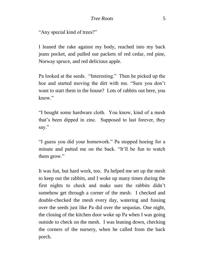"Any special kind of trees?"

I leaned the rake against my body, reached into my back jeans pocket, and pulled out packets of red cedar, red pine, Norway spruce, and red delicious apple.

Pa looked at the seeds. "Interesting." Then he picked up the hoe and started moving the dirt with me. "Sure you don't want to start them in the house? Lots of rabbits out here, you  $k$ now"

―I bought some hardware cloth. You know, kind of a mesh that's been dipped in zinc. Supposed to last forever, they say."

"I guess you did your homework." Pa stopped hoeing for a minute and patted me on the back. "It'll be fun to watch them grow."

It was fun, but hard work, too. Pa helped me set up the mesh to keep out the rabbits, and I woke up many times during the first nights to check and make sure the rabbits didn't somehow get through a corner of the mesh. I checked and double-checked the mesh every day, watering and fussing over the seeds just like Pa did over the sequoias. One night, the closing of the kitchen door woke up Pa when I was going outside to check on the mesh. I was leaning down, checking the corners of the nursery, when he called from the back porch.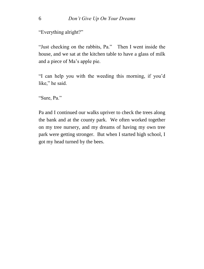"Everything alright?"

"Just checking on the rabbits, Pa." Then I went inside the house, and we sat at the kitchen table to have a glass of milk and a piece of Ma's apple pie.

"I can help you with the weeding this morning, if you'd like," he said.

"Sure, Pa."

Pa and I continued our walks upriver to check the trees along the bank and at the county park. We often worked together on my tree nursery, and my dreams of having my own tree park were getting stronger. But when I started high school, I got my head turned by the bees.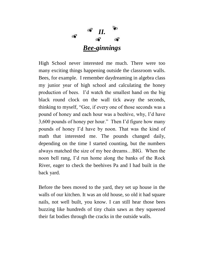

High School never interested me much. There were too many exciting things happening outside the classroom walls. Bees, for example. I remember daydreaming in algebra class my junior year of high school and calculating the honey production of bees. I'd watch the smallest hand on the big black round clock on the wall tick away the seconds, thinking to myself, "Gee, if every one of those seconds was a pound of honey and each hour was a beehive, why, I'd have 3,600 pounds of honey per hour." Then I'd figure how many pounds of honey I'd have by noon. That was the kind of math that interested me. The pounds changed daily, depending on the time I started counting, but the numbers always matched the size of my bee dreams…BIG. When the noon bell rang, I'd run home along the banks of the Rock River, eager to check the beehives Pa and I had built in the back yard.

Before the bees moved to the yard, they set up house in the walls of our kitchen. It was an old house, so old it had square nails, not well built, you know. I can still hear those bees buzzing like hundreds of tiny chain saws as they squeezed their fat bodies through the cracks in the outside walls.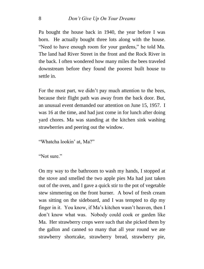Pa bought the house back in 1940, the year before I was born. He actually bought three lots along with the house. "Need to have enough room for your gardens," he told Ma. The land had River Street in the front and the Rock River in the back. I often wondered how many miles the bees traveled downstream before they found the poorest built house to settle in.

For the most part, we didn't pay much attention to the bees, because their flight path was away from the back door. But, an unusual event demanded our attention on June 15, 1957. I was 16 at the time, and had just come in for lunch after doing yard chores. Ma was standing at the kitchen sink washing strawberries and peering out the window.

"Whatcha lookin' at, Ma?"

"Not sure."

On my way to the bathroom to wash my hands, I stopped at the stove and smelled the two apple pies Ma had just taken out of the oven, and I gave a quick stir to the pot of vegetable stew simmering on the front burner. A bowl of fresh cream was sitting on the sideboard, and I was tempted to dip my finger in it. You know, if Ma's kitchen wasn't heaven, then I don't know what was. Nobody could cook or garden like Ma. Her strawberry crops were such that she picked them by the gallon and canned so many that all year round we ate strawberry shortcake, strawberry bread, strawberry pie,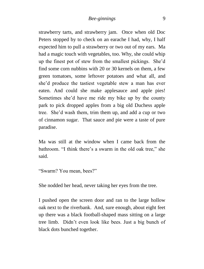strawberry tarts, and strawberry jam. Once when old Doc Peters stopped by to check on an earache I had, why, I half expected him to pull a strawberry or two out of my ears. Ma had a magic touch with vegetables, too. Why, she could whip up the finest pot of stew from the smallest pickings. She'd find some corn nubbins with 20 or 30 kernels on them, a few green tomatoes, some leftover potatoes and what all, and she'd produce the tastiest vegetable stew a man has ever eaten. And could she make applesauce and apple pies! Sometimes she'd have me ride my bike up by the county park to pick dropped apples from a big old Duchess apple tree. She'd wash them, trim them up, and add a cup or two of cinnamon sugar. That sauce and pie were a taste of pure paradise.

Ma was still at the window when I came back from the bathroom. "I think there's a swarm in the old oak tree," she said.

```
"Swarm? You mean, bees?"
```
She nodded her head, never taking her eyes from the tree.

I pushed open the screen door and ran to the large hollow oak next to the riverbank. And, sure enough, about eight feet up there was a black football-shaped mass sitting on a large tree limb. Didn't even look like bees. Just a big bunch of black dots bunched together.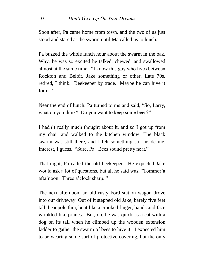Soon after, Pa came home from town, and the two of us just stood and stared at the swarm until Ma called us to lunch.

Pa buzzed the whole lunch hour about the swarm in the oak. Why, he was so excited he talked, chewed, and swallowed almost at the same time. "I know this guy who lives between Rockton and Beloit. Jake something or other. Late 70s, retired, I think. Beekeeper by trade. Maybe he can hive it for us."

Near the end of lunch, Pa turned to me and said, "So, Larry, what do you think? Do you want to keep some bees?"

I hadn't really much thought about it, and so I got up from my chair and walked to the kitchen window. The black swarm was still there, and I felt something stir inside me. Interest, I guess. "Sure, Pa. Bees sound pretty neat."

That night, Pa called the old beekeeper. He expected Jake would ask a lot of questions, but all he said was, "Tommor'a afta'noon. Three a'clock sharp."

The next afternoon, an old rusty Ford station wagon drove into our driveway. Out of it stepped old Jake, barely five feet tall, beanpole thin, bent like a crooked finger, hands and face wrinkled like prunes. But, oh, he was quick as a cat with a dog on its tail when he climbed up the wooden extension ladder to gather the swarm of bees to hive it. I expected him to be wearing some sort of protective covering, but the only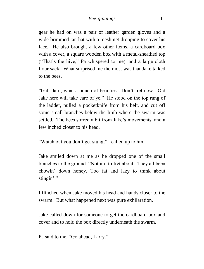gear he had on was a pair of leather garden gloves and a wide-brimmed tan hat with a mesh net dropping to cover his face. He also brought a few other items, a cardboard box with a cover, a square wooden box with a metal-sheathed top (―That's the hive,‖ Pa whispered to me), and a large cloth flour sack. What surprised me the most was that Jake talked to the bees.

―Gall darn, what a bunch of beauties. Don't fret now. Old Jake here will take care of ye." He stood on the top rung of the ladder, pulled a pocketknife from his belt, and cut off some small branches below the limb where the swarm was settled. The bees stirred a bit from Jake's movements, and a few inched closer to his head.

"Watch out you don't get stung," I called up to him.

Jake smiled down at me as he dropped one of the small branches to the ground. "Nothin' to fret about. They all been chowin' down honey. Too fat and lazy to think about stingin'."

I flinched when Jake moved his head and hands closer to the swarm. But what happened next was pure exhilaration.

Jake called down for someone to get the cardboard box and cover and to hold the box directly underneath the swarm.

Pa said to me, "Go ahead, Larry."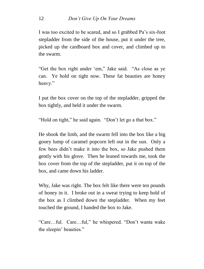I was too excited to be scared, and so I grabbed Pa's six-foot stepladder from the side of the house, put it under the tree, picked up the cardboard box and cover, and climbed up to the swarm.

"Get the box right under 'em," Jake said. "As close as ye can. Ye hold on tight now. These fat beauties are honey heavy."

I put the box cover on the top of the stepladder, gripped the box tightly, and held it under the swarm.

"Hold on tight," he said again. "Don't let go a that box."

He shook the limb, and the swarm fell into the box like a big gooey lump of caramel popcorn left out in the sun. Only a few bees didn't make it into the box, so Jake pushed them gently with his glove. Then he leaned towards me, took the box cover from the top of the stepladder, put it on top of the box, and came down his ladder.

Why, Jake was right. The box felt like there were ten pounds of honey in it. I broke out in a sweat trying to keep hold of the box as I climbed down the stepladder. When my feet touched the ground, I handed the box to Jake.

"Care...ful. Care...ful," he whispered. "Don't wanta wake the sleepin' beauties."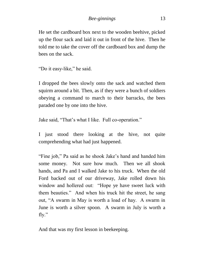He set the cardboard box next to the wooden beehive, picked up the flour sack and laid it out in front of the hive. Then he told me to take the cover off the cardboard box and dump the bees on the sack.

"Do it easy-like," he said.

I dropped the bees slowly onto the sack and watched them squirm around a bit. Then, as if they were a bunch of soldiers obeying a command to march to their barracks, the bees paraded one by one into the hive.

Jake said, "That's what I like. Full co-operation."

I just stood there looking at the hive, not quite comprehending what had just happened.

"Fine job," Pa said as he shook Jake's hand and handed him some money. Not sure how much. Then we all shook hands, and Pa and I walked Jake to his truck. When the old Ford backed out of our driveway, Jake rolled down his window and hollered out: "Hope ye have sweet luck with them beauties.‖ And when his truck hit the street, he sang out, "A swarm in May is worth a load of hay. A swarm in June is worth a silver spoon. A swarm in July is worth a fly."

And that was my first lesson in beekeeping.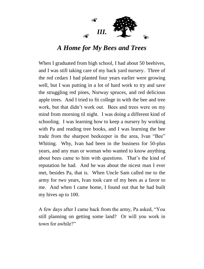

### *A Home for My Bees and Trees*

When I graduated from high school, I had about 50 beehives, and I was still taking care of my back yard nursery. Three of the red cedars I had planted four years earlier were growing well, but I was putting in a lot of hard work to try and save the struggling red pines, Norway spruces, and red delicious apple trees. And I tried to fit college in with the bee and tree work, but that didn't work out. Bees and trees were on my mind from morning til night. I was doing a different kind of schooling. I was learning how to keep a nursery by working with Pa and reading tree books, and I was learning the bee trade from the sharpest beekeeper in the area, Ivan "Bee" Whiting. Why, Ivan had been in the business for 50-plus years, and any man or woman who wanted to know anything about bees came to him with questions. That's the kind of reputation he had. And he was about the nicest man I ever met, besides Pa, that is. When Uncle Sam called me to the army for two years, Ivan took care of my bees as a favor to me. And when I came home, I found out that he had built my hives up to 100.

A few days after I came back from the army, Pa asked, "You still planning on getting some land? Or will you work in town for awhile?"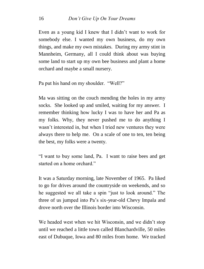Even as a young kid I knew that I didn't want to work for somebody else. I wanted my own business, do my own things, and make my own mistakes. During my army stint in Mannheim, Germany, all I could think about was buying some land to start up my own bee business and plant a home orchard and maybe a small nursery.

Pa put his hand on my shoulder. "Well?"

Ma was sitting on the couch mending the holes in my army socks. She looked up and smiled, waiting for my answer. I remember thinking how lucky I was to have her and Pa as my folks. Why, they never pushed me to do anything I wasn't interested in, but when I tried new ventures they were always there to help me. On a scale of one to ten, ten being the best, my folks were a twenty.

―I want to buy some land, Pa. I want to raise bees and get started on a home orchard."

It was a Saturday morning, late November of 1965. Pa liked to go for drives around the countryside on weekends, and so he suggested we all take a spin "just to look around." The three of us jumped into Pa's six-year-old Chevy Impala and drove north over the Illinois border into Wisconsin.

We headed west when we hit Wisconsin, and we didn't stop until we reached a little town called Blanchardville, 50 miles east of Dubuque, Iowa and 80 miles from home. We tracked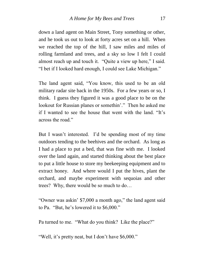down a land agent on Main Street, Tony something or other, and he took us out to look at forty acres set on a hill. When we reached the top of the hill, I saw miles and miles of rolling farmland and trees, and a sky so low I felt I could almost reach up and touch it. "Quite a view up here," I said. "I bet if I looked hard enough, I could see Lake Michigan."

The land agent said, "You know, this used to be an old military radar site back in the 1950s. For a few years or so, I think. I guess they figured it was a good place to be on the lookout for Russian planes or somethin'." Then he asked me if I wanted to see the house that went with the land. "It's across the road."

But I wasn't interested. I'd be spending most of my time outdoors tending to the beehives and the orchard. As long as I had a place to put a bed, that was fine with me. I looked over the land again, and started thinking about the best place to put a little house to store my beekeeping equipment and to extract honey. And where would I put the hives, plant the orchard, and maybe experiment with sequoias and other trees? Why, there would be so much to do…

"Owner was askin' \$7,000 a month ago," the land agent said to Pa. "But, he's lowered it to \$6,000."

Pa turned to me. "What do you think? Like the place?"

"Well, it's pretty neat, but I don't have \$6,000."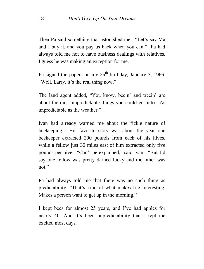Then Pa said something that astonished me. "Let's say Ma and I buy it, and you pay us back when you can." Pa had always told me not to have business dealings with relatives. I guess he was making an exception for me.

Pa signed the papers on my  $25<sup>th</sup>$  birthday, January 3, 1966. "Well, Larry, it's the real thing now."

The land agent added, "You know, beein' and treein' are about the most unpredictable things you could get into. As unpredictable as the weather."

Ivan had already warned me about the fickle nature of beekeeping. His favorite story was about the year one beekeeper extracted 200 pounds from each of his hives, while a fellow just 30 miles east of him extracted only five pounds per hive. "Can't be explained," said Ivan. "But I'd say one fellow was pretty darned lucky and the other was not."

Pa had always told me that there was no such thing as predictability. "That's kind of what makes life interesting. Makes a person want to get up in the morning."

I kept bees for almost 25 years, and I've had apples for nearly 40. And it's been unpredictability that's kept me excited most days.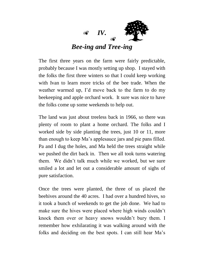

*Bee-ing and Tree-ing*

The first three years on the farm were fairly predictable, probably because I was mostly setting up shop. I stayed with the folks the first three winters so that I could keep working with Ivan to learn more tricks of the bee trade. When the weather warmed up, I'd move back to the farm to do my beekeeping and apple orchard work. It sure was nice to have the folks come up some weekends to help out.

The land was just about treeless back in 1966, so there was plenty of room to plant a home orchard. The folks and I worked side by side planting the trees, just 10 or 11, more than enough to keep Ma's applesauce jars and pie pans filled. Pa and I dug the holes, and Ma held the trees straight while we pushed the dirt back in. Then we all took turns watering them. We didn't talk much while we worked, but we sure smiled a lot and let out a considerable amount of sighs of pure satisfaction.

Once the trees were planted, the three of us placed the beehives around the 40 acres. I had over a hundred hives, so it took a bunch of weekends to get the job done. We had to make sure the hives were placed where high winds couldn't knock them over or heavy snows wouldn't bury them. I remember how exhilarating it was walking around with the folks and deciding on the best spots. I can still hear Ma's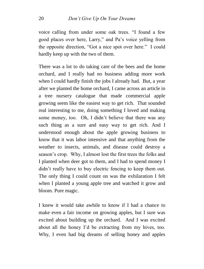voice calling from under some oak trees. "I found a few good places over here, Larry," and Pa's voice yelling from the opposite direction, "Got a nice spot over here." I could hardly keep up with the two of them.

There was a lot to do taking care of the bees and the home orchard, and I really had no business adding more work when I could hardly finish the jobs I already had. But, a year after we planted the home orchard, I came across an article in a tree nursery catalogue that made commercial apple growing seem like the easiest way to get rich. That sounded real interesting to me, doing something I loved and making some money, too. Oh, I didn't believe that there was any such thing as a sure and easy way to get rich. And I understood enough about the apple growing business to know that it was labor intensive and that anything from the weather to insects, animals, and disease could destroy a season's crop. Why, I almost lost the first trees the folks and I planted when deer got to them, and I had to spend money I didn't really have to buy electric fencing to keep them out. The only thing I could count on was the exhilaration I felt when I planted a young apple tree and watched it grow and bloom. Pure magic.

I knew it would take awhile to know if I had a chance to make even a fair income on growing apples, but I sure was excited about building up the orchard. And I was excited about all the honey I'd be extracting from my hives, too. Why, I even had big dreams of selling honey and apples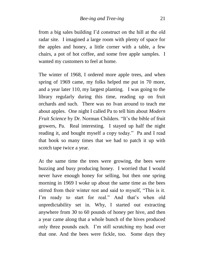from a big sales building I'd construct on the hill at the old radar site. I imagined a large room with plenty of space for the apples and honey, a little corner with a table, a few chairs, a pot of hot coffee, and some free apple samples. I wanted my customers to feel at home.

The winter of 1968, I ordered more apple trees, and when spring of 1969 came, my folks helped me put in 70 more, and a year later 110, my largest planting. I was going to the library regularly during this time, reading up on fruit orchards and such. There was no Ivan around to teach me about apples. One night I called Pa to tell him about *Modern Fruit Science by Dr. Norman Childers.* "It's the bible of fruit growers, Pa. Real interesting. I stayed up half the night reading it, and bought myself a copy today." Pa and I read that book so many times that we had to patch it up with scotch tape twice a year.

At the same time the trees were growing, the bees were buzzing and busy producing honey. I worried that I would never have enough honey for selling, but then one spring morning in 1969 I woke up about the same time as the bees stirred from their winter rest and said to myself, "This is it. I'm ready to start for real." And that's when old unpredictability set in. Why, I started out extracting anywhere from 30 to 60 pounds of honey per hive, and then a year came along that a whole bunch of the hives produced only three pounds each. I'm still scratching my head over that one. And the bees were fickle, too. Some days they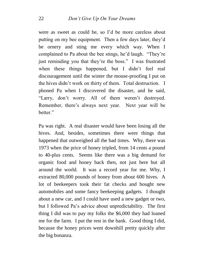were as sweet as could be, so I'd be more careless about putting on my bee equipment. Then a few days later, they'd be ornery and sting me every which way. When I complained to Pa about the bee stings, he'd laugh. "They're just reminding you that they're the boss." I was frustrated when these things happened, but I didn't feel real discouragement until the winter the mouse-proofing I put on the hives didn't work on thirty of them. Total destruction. I phoned Pa when I discovered the disaster, and he said, "Larry, don't worry. All of them weren't destroyed. Remember, there's always next year. Next year will be better<sup>"</sup>

Pa was right. A real disaster would have been losing all the hives. And, besides, sometimes there were things that happened that outweighed all the bad times. Why, there was 1973 when the price of honey tripled, from 14 cents a pound to 40-plus cents. Seems like there was a big demand for organic food and honey back then, not just here but all around the world. It was a record year for me. Why, I extracted 80,000 pounds of honey from about 600 hives. A lot of beekeepers took their fat checks and bought new automobiles and some fancy beekeeping gadgets. I thought about a new car, and I could have used a new gadget or two, but I followed Pa's advice about unpredictability. The first thing I did was to pay my folks the \$6,000 they had loaned me for the farm. I put the rest in the bank. Good thing I did, because the honey prices went downhill pretty quickly after the big bonanza.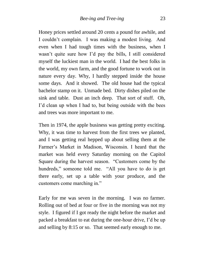Honey prices settled around 20 cents a pound for awhile, and I couldn't complain. I was making a modest living. And even when I had tough times with the business, when I wasn't quite sure how I'd pay the bills, I still considered myself the luckiest man in the world. I had the best folks in the world, my own farm, and the good fortune to work out in nature every day. Why, I hardly stepped inside the house some days. And it showed. The old house had the typical bachelor stamp on it. Unmade bed. Dirty dishes piled on the sink and table. Dust an inch deep. That sort of stuff. Oh, I'd clean up when I had to, but being outside with the bees and trees was more important to me.

Then in 1974, the apple business was getting pretty exciting. Why, it was time to harvest from the first trees we planted, and I was getting real hepped up about selling them at the Farmer's Market in Madison, Wisconsin. I heard that the market was held every Saturday morning on the Capitol Square during the harvest season. "Customers come by the hundreds," someone told me. "All you have to do is get there early, set up a table with your produce, and the customers come marching in."

Early for me was seven in the morning. I was no farmer. Rolling out of bed at four or five in the morning was not my style. I figured if I got ready the night before the market and packed a breakfast to eat during the one-hour drive, I'd be up and selling by 8:15 or so. That seemed early enough to me.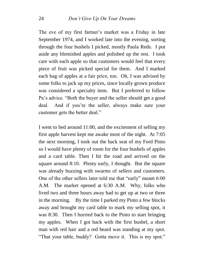The eve of my first farmer's market was a Friday in late September 1974, and I worked late into the evening, sorting through the four bushels I picked, mostly Paula Reds. I put aside any blemished apples and polished up the rest. I took care with each apple so that customers would feel that every piece of fruit was picked special for them. And I marked each bag of apples at a fair price, too. Oh, I was advised by some folks to jack up my prices, since locally grown produce was considered a specialty item. But I preferred to follow Pa's advice. "Both the buyer and the seller should get a good deal. And if you're the seller, always make sure your customer gets the better deal."

I went to bed around 11:00, and the excitement of selling my first apple harvest kept me awake most of the night. At 7:05 the next morning, I took out the back seat of my Ford Pinto so I would have plenty of room for the four bushels of apples and a card table. Then I hit the road and arrived on the square around 8:10. Plenty early, I thought. But the square was already buzzing with swarms of sellers and customers. One of the other sellers later told me that "early" meant 6:00 A.M. The market opened at 6:30 A.M. Why, folks who lived two and three hours away had to get up at two or three in the morning. By the time I parked my Pinto a few blocks away and brought my card table to mark my selling spot, it was 8:30. Then I hurried back to the Pinto to start bringing my apples. When I got back with the first bushel, a short man with red hair and a red beard was standing at my spot. "That your table, buddy? Gotta move it. This is my spot."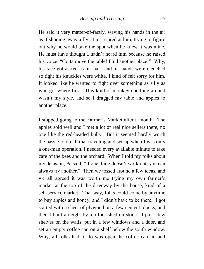He said it very matter-of-factly, waving his hands in the air as if shooing away a fly. I just stared at him, trying to figure out why he would take the spot when he knew it was mine. He must have thought I hadn't heard him because he raised his voice. "Gotta move the table! Find another place!" Why, his face got as red as his hair, and his hands were clenched so tight his knuckles were white. I kind of felt sorry for him. It looked like he wanted to fight over something as silly as who got where first. This kind of monkey doodling around wasn't my style, and so I dragged my table and apples to another place.

I stopped going to the Farmer's Market after a month. The apples sold well and I met a lot of real nice sellers there, no one like the red-headed bully. But it seemed hardly worth the hassle to do all that traveling and set-up when I was only a one-man operation. I needed every available minute to take care of the bees and the orchard. When I told my folks about my decision, Pa said, "If one thing doesn't work out, you can always try another." Then we tossed around a few ideas, and we all agreed it was worth me trying my own farmer's market at the top of the driveway by the house, kind of a self-service market. That way, folks could come by anytime to buy apples and honey, and I didn't have to be there. I got started with a sheet of plywood on a few cement blocks, and then I built an eight-by-ten foot shed on skids. I put a few shelves on the walls, put in a few windows and a door, and set an empty coffee can on a shelf below the south window. Why, all folks had to do was open the coffee can lid and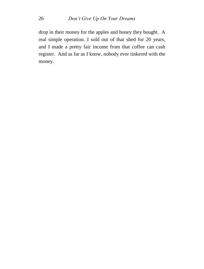drop in their money for the apples and honey they bought. A real simple operation. I sold out of that shed for 20 years, and I made a pretty fair income from that coffee can cash register. And as far as I know, nobody ever tinkered with the money.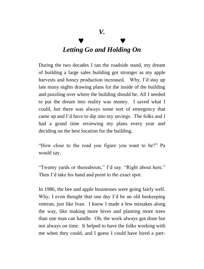*V.*

# *♥ ♥ Letting Go and Holding On*

During the two decades I ran the roadside stand, my dream of building a large sales building got stronger as my apple harvests and honey production increased. Why, I'd stay up late many nights drawing plans for the inside of the building and puzzling over where the building should be. All I needed to put the dream into reality was money. I saved what I could, but there was always some sort of emergency that came up and I'd have to dip into my savings. The folks and I had a grand time reviewing my plans every year and deciding on the best location for the building.

"How close to the road you figure you want to be?" Pa would say.

"Twenty yards or thereabouts," I'd say. "Right about here." Then I'd take his hand and point to the exact spot.

In 1986, the bee and apple businesses were going fairly well. Why, I even thought that one day I'd be an old beekeeping veteran, just like Ivan. I know I made a few mistakes along the way, like making more hives and planting more trees than one man can handle. Oh, the work always got done but not always on time. It helped to have the folks working with me when they could, and I guess I could have hired a part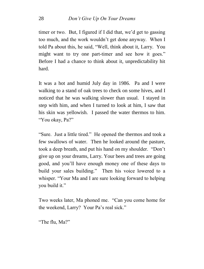timer or two. But, I figured if I did that, we'd get to gassing too much, and the work wouldn't get done anyway. When I told Pa about this, he said, "Well, think about it, Larry. You might want to try one part-timer and see how it goes." Before I had a chance to think about it, unpredictability hit hard.

It was a hot and humid July day in 1986. Pa and I were walking to a stand of oak trees to check on some hives, and I noticed that he was walking slower than usual. I stayed in step with him, and when I turned to look at him, I saw that his skin was yellowish. I passed the water thermos to him. "You okay, Pa?"

"Sure. Just a little tired." He opened the thermos and took a few swallows of water. Then he looked around the pasture, took a deep breath, and put his hand on my shoulder. "Don't give up on your dreams, Larry. Your bees and trees are going good, and you'll have enough money one of these days to build your sales building." Then his voice lowered to a whisper. "Your Ma and I are sure looking forward to helping you build it."

Two weeks later, Ma phoned me. "Can you come home for the weekend, Larry? Your Pa's real sick."

"The flu, Ma?"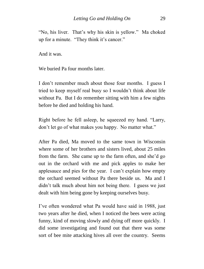"No, his liver. That's why his skin is yellow." Ma choked up for a minute. "They think it's cancer."

And it was.

We buried Pa four months later.

I don't remember much about those four months. I guess I tried to keep myself real busy so I wouldn't think about life without Pa. But I do remember sitting with him a few nights before he died and holding his hand.

Right before he fell asleep, he squeezed my hand. "Larry, don't let go of what makes you happy. No matter what."

After Pa died, Ma moved to the same town in Wisconsin where some of her brothers and sisters lived, about 25 miles from the farm. She came up to the farm often, and she'd go out in the orchard with me and pick apples to make her applesauce and pies for the year. I can't explain how empty the orchard seemed without Pa there beside us. Ma and I didn't talk much about him not being there. I guess we just dealt with him being gone by keeping ourselves busy.

I've often wondered what Pa would have said in 1988, just two years after he died, when I noticed the bees were acting funny, kind of moving slowly and dying off more quickly. I did some investigating and found out that there was some sort of bee mite attacking hives all over the country. Seems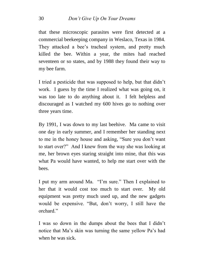that these microscopic parasites were first detected at a commercial beekeeping company in Weslaco, Texas in 1984. They attacked a bee's tracheal system, and pretty much killed the bee. Within a year, the mites had reached seventeen or so states, and by 1988 they found their way to my bee farm.

I tried a pesticide that was supposed to help, but that didn't work. I guess by the time I realized what was going on, it was too late to do anything about it. I felt helpless and discouraged as I watched my 600 hives go to nothing over three years time.

By 1991, I was down to my last beehive. Ma came to visit one day in early summer, and I remember her standing next to me in the honey house and asking, "Sure you don't want to start over?" And I knew from the way she was looking at me, her brown eyes staring straight into mine, that this was what Pa would have wanted, to help me start over with the bees.

I put my arm around Ma. "I'm sure." Then I explained to her that it would cost too much to start over. My old equipment was pretty much used up, and the new gadgets would be expensive. "But, don't worry, I still have the orchard."

I was so down in the dumps about the bees that I didn't notice that Ma's skin was turning the same yellow Pa's had when he was sick.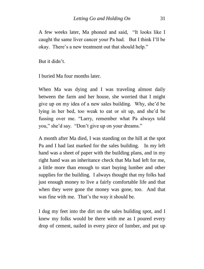A few weeks later, Ma phoned and said, "It looks like I caught the same liver cancer your Pa had. But I think I'll be okay. There's a new treatment out that should help."

But it didn't.

I buried Ma four months later.

When Ma was dying and I was traveling almost daily between the farm and her house, she worried that I might give up on my idea of a new sales building. Why, she'd be lying in her bed, too weak to eat or sit up, and she'd be fussing over me. "Larry, remember what Pa always told you," she'd say. "Don't give up on your dreams."

A month after Ma died, I was standing on the hill at the spot Pa and I had last marked for the sales building. In my left hand was a sheet of paper with the building plans, and in my right hand was an inheritance check that Ma had left for me, a little more than enough to start buying lumber and other supplies for the building. I always thought that my folks had just enough money to live a fairly comfortable life and that when they were gone the money was gone, too. And that was fine with me. That's the way it should be.

I dug my feet into the dirt on the sales building spot, and I knew my folks would be there with me as I poured every drop of cement, nailed in every piece of lumber, and put up